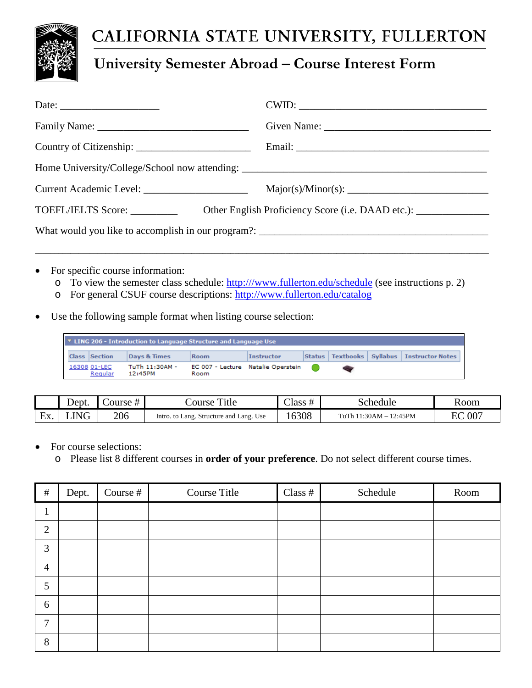

# CALIFORNIA STATE UNIVERSITY, FULLERTON

## **University Semester Abroad – Course Interest Form**

|                                 | Current Academic Level: _________________________ Major(s)/Minor(s): _______________________________ |  |  |  |
|---------------------------------|------------------------------------------------------------------------------------------------------|--|--|--|
| TOEFL/IELTS Score: ____________ |                                                                                                      |  |  |  |
|                                 |                                                                                                      |  |  |  |
|                                 |                                                                                                      |  |  |  |

- For specific course information:
	- o To view the semester class schedule: [http:///www.fullerton.edu/schedule](http://www.fullerton.edu/schedule) (see instructions p. 2)
	- o For general CSUF course descriptions:<http://www.fullerton.edu/catalog>
- Use the following sample format when listing course selection:

| ▼ LING 206 - Introduction to Language Structure and Language Use |  |                         |                           |                                            |            |  |                                                  |
|------------------------------------------------------------------|--|-------------------------|---------------------------|--------------------------------------------|------------|--|--------------------------------------------------|
|                                                                  |  | <b>Class Section</b>    | Days & Times              | <b>Room</b>                                | Instructor |  | Status   Textbooks   Syllabus   Instructor Notes |
|                                                                  |  | 16308 01-LEC<br>Regular | TuTh 11:30AM -<br>12:45PM | EC 007 - Lecture Natalie Operstein<br>Room |            |  |                                                  |

|                    | Dept. | ourse # | m.<br><sup>1</sup> tle<br>course             | $\sim$<br>$\mathcal{L}$ lass $\tau$ | schedule               | Room      |
|--------------------|-------|---------|----------------------------------------------|-------------------------------------|------------------------|-----------|
| -<br>Li v<br>، د ت | .ING  | 206     | . to Lang. Structure and Lang. Use<br>Intro. | 6308                                | TuTh 11:30AM - 12:45PM | 007<br>EС |

- For course selections:
	- o Please list 8 different courses in **order of your preference**. Do not select different course times.

| $\#$           | Dept. | Course # | Course Title | Class $#$ | Schedule | Room |
|----------------|-------|----------|--------------|-----------|----------|------|
|                |       |          |              |           |          |      |
| $\overline{2}$ |       |          |              |           |          |      |
| 3              |       |          |              |           |          |      |
| $\overline{4}$ |       |          |              |           |          |      |
| 5              |       |          |              |           |          |      |
| 6              |       |          |              |           |          |      |
| ⇁              |       |          |              |           |          |      |
| 8              |       |          |              |           |          |      |